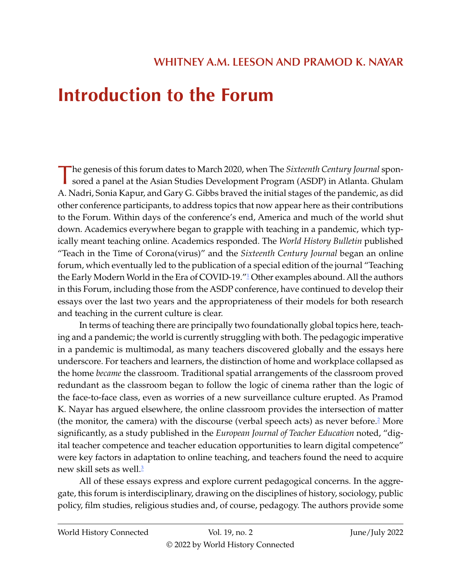## <span id="page-0-0"></span>**Introduction to the Forum**

The genesis of this forum dates to March 2020, when The *Sixteenth Century Journal* sponsored a panel at the Asian Studies Development Program (ASDP) in Atlanta. Ghulam A. Nadri, Sonia Kapur, and Gary G. Gibbs braved the initial stages of the pandemic, as did other conference participants, to address topics that now appear here as their contributions to the Forum. Within days of the conference's end, America and much of the world shut down. Academics everywhere began to grapple with teaching in a pandemic, which typically meant teaching online. Academics responded. The *World History Bulletin* published "Teach in the Time of Corona(virus)" and the *Sixteenth Century Journal* began an online forum, which eventually led to the publication of a special edition of the journal "Teaching the Early Modern World in the Era of COVID-19."<sup>1</sup> Other examples abound. All the authors in this Forum, including those from the ASDP conference, have continued to develop their essays over the last two years and the appropriateness of their models for both research and teaching in the current culture is clear.

In terms of teaching there are principally two foundationally global topics here, teaching and a pandemic; the world is currently struggling with both. The pedagogic imperative in a pandemic is multimodal, as many teachers discovered globally and the essays here underscore. For teachers and learners, the distinction of home and workplace collapsed as the home *became* the classroom. Traditional spatial arrangements of the classroom proved redundant as the classroom began to follow the logic of cinema rather than the logic of the face-to-face class, even as worries of a new surveillance culture erupted. As Pramod K. Nayar has argued elsewhere, the online classroom provides the intersection of matter (the monitor, the camera) with the discourse (verbal speech acts) as never before.<sup>[2](#page-5-0)</sup> More significantly, as a study published in the *European Journal of Teacher Education* noted, "digital teacher competence and teacher education opportunities to learn digital competence" were key factors in adaptation to online teaching, and teachers found the need to acquire new skill sets as well.<sup>3</sup>

All of these essays express and explore current pedagogical concerns. In the aggregate, this forum is interdisciplinary, drawing on the disciplines of history, sociology, public policy, film studies, religious studies and, of course, pedagogy. The authors provide some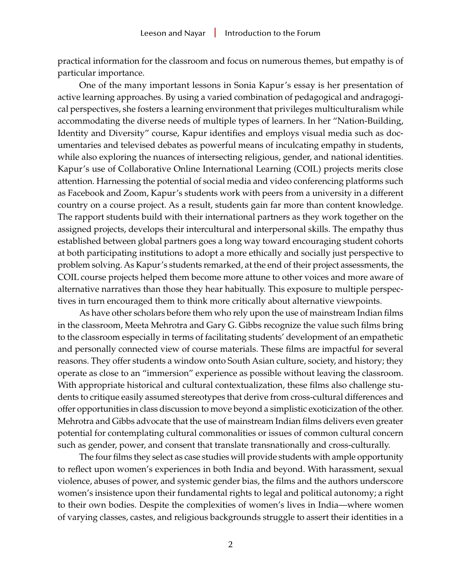practical information for the classroom and focus on numerous themes, but empathy is of particular importance.

One of the many important lessons in Sonia Kapur's essay is her presentation of active learning approaches. By using a varied combination of pedagogical and andragogical perspectives, she fosters a learning environment that privileges multiculturalism while accommodating the diverse needs of multiple types of learners. In her "Nation-Building, Identity and Diversity" course, Kapur identifies and employs visual media such as documentaries and televised debates as powerful means of inculcating empathy in students, while also exploring the nuances of intersecting religious, gender, and national identities. Kapur's use of Collaborative Online International Learning (COIL) projects merits close attention. Harnessing the potential of social media and video conferencing platforms such as Facebook and Zoom, Kapur's students work with peers from a university in a different country on a course project. As a result, students gain far more than content knowledge. The rapport students build with their international partners as they work together on the assigned projects, develops their intercultural and interpersonal skills. The empathy thus established between global partners goes a long way toward encouraging student cohorts at both participating institutions to adopt a more ethically and socially just perspective to problem solving. As Kapur's students remarked, at the end of their project assessments, the COIL course projects helped them become more attune to other voices and more aware of alternative narratives than those they hear habitually. This exposure to multiple perspectives in turn encouraged them to think more critically about alternative viewpoints.

As have other scholars before them who rely upon the use of mainstream Indian films in the classroom, Meeta Mehrotra and Gary G. Gibbs recognize the value such films bring to the classroom especially in terms of facilitating students' development of an empathetic and personally connected view of course materials. These films are impactful for several reasons. They offer students a window onto South Asian culture, society, and history; they operate as close to an "immersion" experience as possible without leaving the classroom. With appropriate historical and cultural contextualization, these films also challenge students to critique easily assumed stereotypes that derive from cross-cultural differences and offer opportunities in class discussion to move beyond a simplistic exoticization of the other. Mehrotra and Gibbs advocate that the use of mainstream Indian films delivers even greater potential for contemplating cultural commonalities or issues of common cultural concern such as gender, power, and consent that translate transnationally and cross-culturally.

The four films they select as case studies will provide students with ample opportunity to reflect upon women's experiences in both India and beyond. With harassment, sexual violence, abuses of power, and systemic gender bias, the films and the authors underscore women's insistence upon their fundamental rights to legal and political autonomy; a right to their own bodies. Despite the complexities of women's lives in India—where women of varying classes, castes, and religious backgrounds struggle to assert their identities in a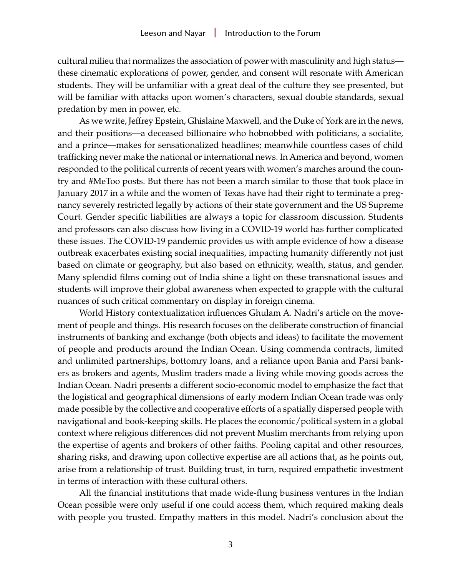cultural milieu that normalizes the association of power with masculinity and high status these cinematic explorations of power, gender, and consent will resonate with American students. They will be unfamiliar with a great deal of the culture they see presented, but will be familiar with attacks upon women's characters, sexual double standards, sexual predation by men in power, etc.

As we write, Jeffrey Epstein, Ghislaine Maxwell, and the Duke of York are in the news, and their positions—a deceased billionaire who hobnobbed with politicians, a socialite, and a prince—makes for sensationalized headlines; meanwhile countless cases of child trafficking never make the national or international news. In America and beyond, women responded to the political currents of recent years with women's marches around the country and #MeToo posts. But there has not been a march similar to those that took place in January 2017 in a while and the women of Texas have had their right to terminate a pregnancy severely restricted legally by actions of their state government and the US Supreme Court. Gender specific liabilities are always a topic for classroom discussion. Students and professors can also discuss how living in a COVID-19 world has further complicated these issues. The COVID-19 pandemic provides us with ample evidence of how a disease outbreak exacerbates existing social inequalities, impacting humanity differently not just based on climate or geography, but also based on ethnicity, wealth, status, and gender. Many splendid films coming out of India shine a light on these transnational issues and students will improve their global awareness when expected to grapple with the cultural nuances of such critical commentary on display in foreign cinema.

World History contextualization influences Ghulam A. Nadri's article on the movement of people and things. His research focuses on the deliberate construction of financial instruments of banking and exchange (both objects and ideas) to facilitate the movement of people and products around the Indian Ocean. Using commenda contracts, limited and unlimited partnerships, bottomry loans, and a reliance upon Bania and Parsi bankers as brokers and agents, Muslim traders made a living while moving goods across the Indian Ocean. Nadri presents a different socio-economic model to emphasize the fact that the logistical and geographical dimensions of early modern Indian Ocean trade was only made possible by the collective and cooperative efforts of a spatially dispersed people with navigational and book-keeping skills. He places the economic/political system in a global context where religious differences did not prevent Muslim merchants from relying upon the expertise of agents and brokers of other faiths. Pooling capital and other resources, sharing risks, and drawing upon collective expertise are all actions that, as he points out, arise from a relationship of trust. Building trust, in turn, required empathetic investment in terms of interaction with these cultural others.

All the financial institutions that made wide-flung business ventures in the Indian Ocean possible were only useful if one could access them, which required making deals with people you trusted. Empathy matters in this model. Nadri's conclusion about the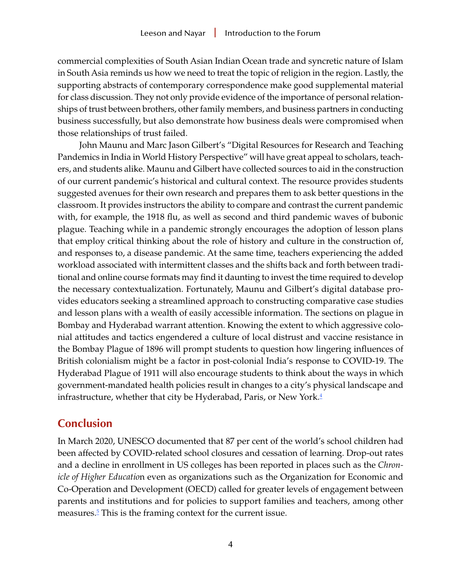<span id="page-3-0"></span>commercial complexities of South Asian Indian Ocean trade and syncretic nature of Islam in South Asia reminds us how we need to treat the topic of religion in the region. Lastly, the supporting abstracts of contemporary correspondence make good supplemental material for class discussion. They not only provide evidence of the importance of personal relationships of trust between brothers, other family members, and business partners in conducting business successfully, but also demonstrate how business deals were compromised when those relationships of trust failed.

John Maunu and Marc Jason Gilbert's "Digital Resources for Research and Teaching Pandemics in India in World History Perspective" will have great appeal to scholars, teachers, and students alike. Maunu and Gilbert have collected sources to aid in the construction of our current pandemic's historical and cultural context. The resource provides students suggested avenues for their own research and prepares them to ask better questions in the classroom. It provides instructors the ability to compare and contrast the current pandemic with, for example, the 1918 flu, as well as second and third pandemic waves of bubonic plague. Teaching while in a pandemic strongly encourages the adoption of lesson plans that employ critical thinking about the role of history and culture in the construction of, and responses to, a disease pandemic. At the same time, teachers experiencing the added workload associated with intermittent classes and the shifts back and forth between traditional and online course formats may find it daunting to invest the time required to develop the necessary contextualization. Fortunately, Maunu and Gilbert's digital database provides educators seeking a streamlined approach to constructing comparative case studies and lesson plans with a wealth of easily accessible information. The sections on plague in Bombay and Hyderabad warrant attention. Knowing the extent to which aggressive colonial attitudes and tactics engendered a culture of local distrust and vaccine resistance in the Bombay Plague of 1896 will prompt students to question how lingering influences of British colonialism might be a factor in post-colonial India's response to COVID-19. The Hyderabad Plague of 1911 will also encourage students to think about the ways in which government-mandated health policies result in changes to a city's physical landscape and infrastructure, whether that city be Hyderabad, Paris, or New York. $\frac{4}{5}$ 

## **Conclusion**

In March 2020, UNESCO documented that 87 per cent of the world's school children had been affected by COVID-related school closures and cessation of learning. Drop-out rates and a decline in enrollment in US colleges has been reported in places such as the *Chronicle of Higher Educatio*n even as organizations such as the Organization for Economic and Co-Operation and Development (OECD) called for greater levels of engagement between parents and institutions and for policies to support families and teachers, among other measures.<sup>[5](#page-5-0)</sup> This is the framing context for the current issue.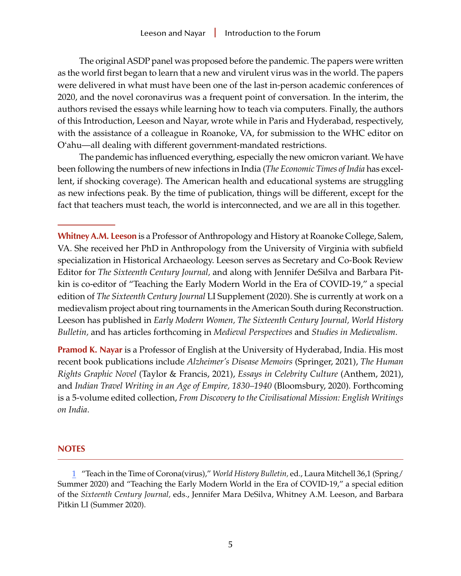<span id="page-4-0"></span>The original ASDP panel was proposed before the pandemic. The papers were written as the world first began to learn that a new and virulent virus was in the world. The papers were delivered in what must have been one of the last in-person academic conferences of 2020, and the novel coronavirus was a frequent point of conversation. In the interim, the authors revised the essays while learning how to teach via computers. Finally, the authors of this Introduction, Leeson and Nayar, wrote while in Paris and Hyderabad, respectively, with the assistance of a colleague in Roanoke, VA, for submission to the WHC editor on O'ahu—all dealing with different government-mandated restrictions.

The pandemic has influenced everything, especially the new omicron variant. We have been following the numbers of new infections in India (*The Economic Times of India* has excellent, if shocking coverage). The American health and educational systems are struggling as new infections peak. By the time of publication, things will be different, except for the fact that teachers must teach, the world is interconnected, and we are all in this together.

**Whitney A.M. Leeson** is a Professor of Anthropology and History at Roanoke College, Salem, VA. She received her PhD in Anthropology from the University of Virginia with subfield specialization in Historical Archaeology. Leeson serves as Secretary and Co-Book Review Editor for *The Sixteenth Century Journal,* and along with Jennifer DeSilva and Barbara Pitkin is co-editor of "Teaching the Early Modern World in the Era of COVID-19," a special edition of *The Sixteenth Century Journal* LI Supplement (2020). She is currently at work on a medievalism project about ring tournaments in the American South during Reconstruction. Leeson has published in *Early Modern Women, The Sixteenth Century Journal, World History Bulletin,* and has articles forthcoming in *Medieval Perspectives* and *Studies in Medievalism*.

**Pramod K. Nayar** is a Professor of English at the University of Hyderabad, India. His most recent book publications include *Alzheimer's Disease Memoirs* (Springer, 2021), *The Human Rights Graphic Novel* (Taylor & Francis, 2021), *Essays in Celebrity Culture* (Anthem, 2021), and *Indian Travel Writing in an Age of Empire, 1830–1940* (Bloomsbury, 2020). Forthcoming is a 5-volume edited collection, *From Discovery to the Civilisational Mission: English Writings on India*.

## **NOTES**

[<sup>1</sup>](#page-0-0) "Teach in the Time of Corona(virus)," *World History Bulletin,* ed., Laura Mitchell 36,1 (Spring/ Summer 2020) and "Teaching the Early Modern World in the Era of COVID-19," a special edition of the *Sixteenth Century Journal,* eds., Jennifer Mara DeSilva, Whitney A.M. Leeson, and Barbara Pitkin LI (Summer 2020).